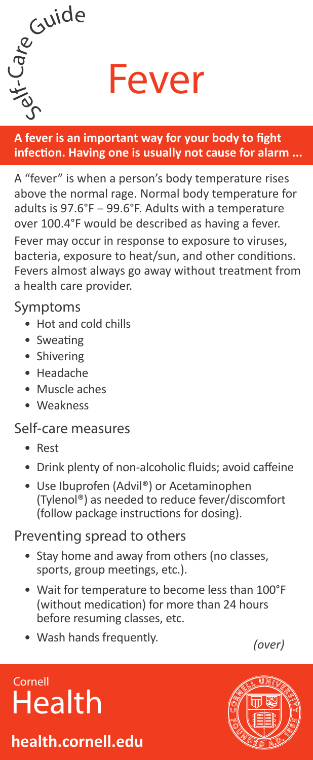

Fever

**A fever is an important way for your body to fight infection. Having one is usually not cause for alarm ...**

A "fever" is when a person's body temperature rises above the normal rage. Normal body temperature for adults is 97.6°F – 99.6°F. Adults with a temperature over 100.4°F would be described as having a fever.

Fever may occur in response to exposure to viruses, bacteria, exposure to heat/sun, and other conditions. Fevers almost always go away without treatment from a health care provider.

Symptoms

- Hot and cold chills
- Sweating
- Shivering
- Headache
- Muscle aches
- Weakness

### Self-care measures

- Rest
- Drink plenty of non-alcoholic fluids; avoid caffeine
- Use Ibuprofen (Advil®) or Acetaminophen (Tylenol®) as needed to reduce fever/discomfort (follow package instructions for dosing).

### Preventing spread to others

- Stay home and away from others (no classes, sports, group meetings, etc.).
- Wait for temperature to become less than 100°F (without medication) for more than 24 hours before resuming classes, etc.
- Wash hands frequently. *(over)*

# Cornell **Health**

### **health.cornell.edu**